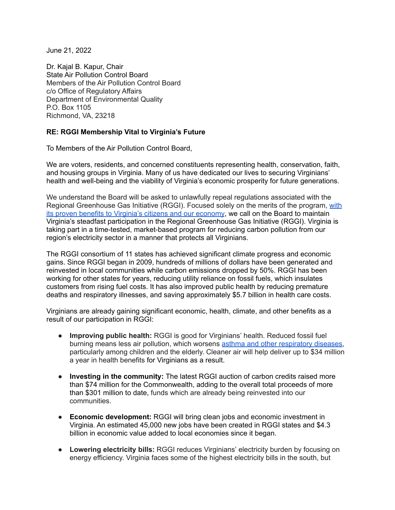June 21, 2022

Dr. Kajal B. Kapur, Chair State Air Pollution Control Board Members of the Air Pollution Control Board c/o Office of Regulatory Affairs Department of Environmental Quality P.O. Box 1105 Richmond, VA, 23218

## **RE: RGGI Membership Vital to Virginia's Future**

To Members of the Air Pollution Control Board,

We are voters, residents, and concerned constituents representing health, conservation, faith, and housing groups in Virginia. Many of us have dedicated our lives to securing Virginians' health and well-being and the viability of Virginia's economic prosperity for future generations.

We understand the Board will be asked to unlawfully repeal regulations associated with the Regional Greenhouse Gas Initiative (RGGI). Focused solely on the merits of the program, [with](https://blogs.edf.org/climate411/2022/01/19/why-rggi-is-a-good-deal-for-virginians/) its proven benefits to Virginia's citizens and our [economy](https://blogs.edf.org/climate411/2022/01/19/why-rggi-is-a-good-deal-for-virginians/), we call on the Board to maintain Virginia's steadfast participation in the Regional Greenhouse Gas Initiative (RGGI). Virginia is taking part in a time-tested, market-based program for reducing carbon pollution from our region's electricity sector in a manner that protects all Virginians.

The RGGI consortium of 11 states has achieved significant climate progress and economic gains. Since RGGI began in 2009, hundreds of millions of dollars have been generated and reinvested in local communities while carbon emissions dropped by 50%. RGGI has been working for other states for years, reducing utility reliance on fossil fuels, which insulates customers from rising fuel costs. It has also improved public health by reducing premature deaths and respiratory illnesses, and saving approximately \$5.7 billion in health care costs.

Virginians are already gaining significant economic, health, climate, and other benefits as a result of our participation in RGGI:

- **Improving public health:** RGGI is good for Virginians' health. Reduced fossil fuel burning means less air pollution, which worsens asthma and other [respiratory](https://blogs.edf.org/climate411/files/2022/01/RGGI-health-benefits_cropped.png) diseases, particularly among children and the elderly. Cleaner air will help deliver up to \$34 million a year in health benefits for Virginians as a result.
- **Investing in the community:** The latest RGGI auction of carbon credits raised more than \$74 million for the Commonwealth, adding to the overall total proceeds of more than \$301 million to date, funds which are already being reinvested into our communities.
- **Economic development:** RGGI will bring clean jobs and economic investment in Virginia. An estimated 45,000 new jobs have been created in RGGI states and \$4.3 billion in economic value added to local economies since it began.
- **Lowering electricity bills:** RGGI reduces Virginians' electricity burden by focusing on energy efficiency. Virginia faces some of the highest electricity bills in the south, but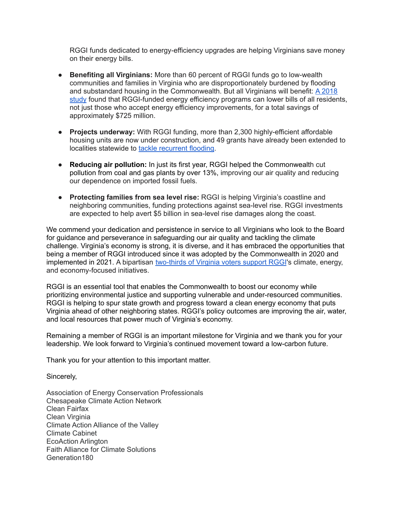RGGI funds dedicated to energy-efficiency upgrades are helping Virginians save money on their energy bills.

- **Benefiting all Virginians:** More than 60 percent of RGGI funds go to low-wealth communities and families in Virginia who are disproportionately burdened by flooding and substandard housing in the Commonwealth. But all Virginians will benefit: A [2018](https://www.analysisgroup.com/globalassets/content/insights/publishing/2018_hibbard_tierney_darling_cullinan_an_expanding_carbon_cap_and_trade_regime2.pdf) [study](https://www.analysisgroup.com/globalassets/content/insights/publishing/2018_hibbard_tierney_darling_cullinan_an_expanding_carbon_cap_and_trade_regime2.pdf) found that RGGI-funded energy efficiency programs can lower bills of all residents, not just those who accept energy efficiency improvements, for a total savings of approximately \$725 million.
- **Projects underway:** With RGGI funding, more than 2,300 highly-efficient affordable housing units are now under construction, and 49 grants have already been extended to localities statewide to tackle [recurrent](https://vcnva.org/cfpf-grant-house/) flooding.
- **Reducing air pollution:** In just its first year, RGGI helped the Commonwealth cut pollution from coal and gas plants by over 13%, improving our air quality and [reduci](https://www.eia.gov/electricity/monthly/)ng our dependence on imported fossil fuels.
- **Protecting families from sea level rise:** RGGI is helping Virginia's coastline and neighboring communities, funding protections against sea-level rise. RGGI investments are expected to help avert \$5 billion in sea-level rise damages along the coast.

We commend your dedication and persistence in service to all Virginians who look to the Board for guidance and perseverance in safeguarding our air quality and tackling the climate challenge. Virginia's economy is strong, it is diverse, and it has embraced the opportunities that being a member of RGGI introduced since it was adopted by the Commonwealth in 2020 and implemented in 2021. A bipartisan [two-thirds](https://cnu.edu/wasoncenter/surveys/archive/2022-02-21.html) of Virginia voters support RGGI's climate, energy, and economy-focused initiatives.

RGGI is an essential tool that enables the Commonwealth to boost our economy while prioritizing environmental justice and supporting vulnerable and under-resourced communities. RGGI is helping to spur state growth and progress toward a clean energy economy that puts Virginia ahead of other neighboring states. RGGI's policy outcomes are improving the air, water, and local resources that power much of Virginia's economy.

Remaining a member of RGGI is an important milestone for Virginia and we thank you for your leadership. We look forward to Virginia's continued movement toward a low-carbon future.

Thank you for your attention to this important matter.

Sincerely,

Association of Energy Conservation Professionals Chesapeake Climate Action Network Clean Fairfax Clean Virginia Climate Action Alliance of the Valley Climate Cabinet EcoAction Arlington Faith Alliance for Climate Solutions Generation180